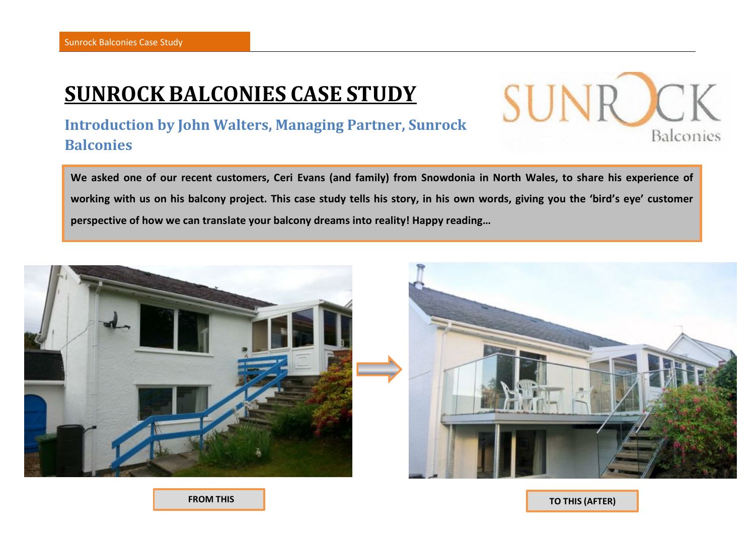# **SUNROCK BALCONIES CASE STUDY**

### **Introduction by John Walters, Managing Partner, Sunrock Balconies**

**We asked one of our recent customers, Ceri Evans (and family) from Snowdonia in North Wales, to share his experience of working with us on his balcony project. This case study tells his story, in his own words, giving you the 'bird's eye' customer perspective of how we can translate your balcony dreams into reality! Happy reading…**



 **FROM THIS (BEFORE)…**

**TO THIS (AFTER)**

Balconies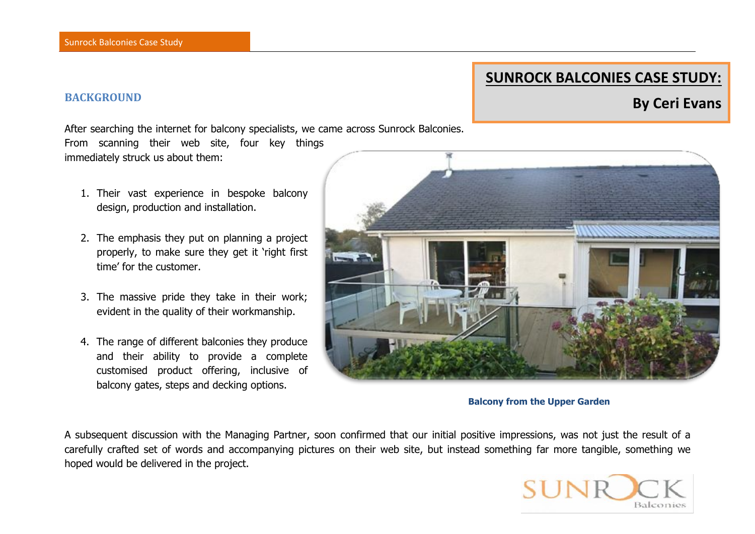### **SUNROCK BALCONIES CASE STUDY:**

## **BACKGROUND BACKGROUND**

After searching the internet for balcony specialists, we came across Sunrock Balconies. From scanning their web site, four key things immediately struck us about them:

- 1. Their vast experience in bespoke balcony design, production and installation.
- 2. The emphasis they put on planning a project properly, to make sure they get it 'right first time' for the customer.
- 3. The massive pride they take in their work; evident in the quality of their workmanship.
- 4. The range of different balconies they produce and their ability to provide a complete customised product offering, inclusive of balcony gates, steps and decking options.



#### **Balcony from the Upper Garden**

A subsequent discussion with the Managing Partner, soon confirmed that our initial positive impressions, was not just the result of a carefully crafted set of words and accompanying pictures on their web site, but instead something far more tangible, something we hoped would be delivered in the project.

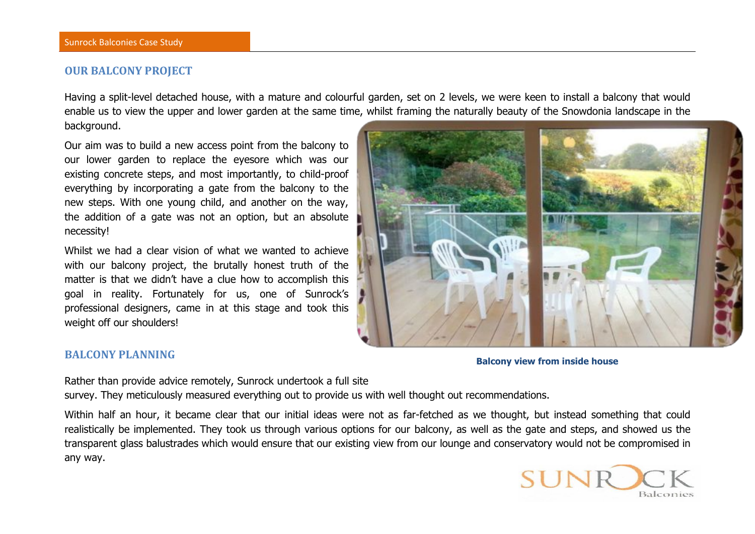#### **OUR BALCONY PROJECT**

Having a split-level detached house, with a mature and colourful garden, set on 2 levels, we were keen to install a balcony that would enable us to view the upper and lower garden at the same time, whilst framing the naturally beauty of the Snowdonia landscape in the background.

Our aim was to build a new access point from the balcony to our lower garden to replace the eyesore which was our existing concrete steps, and most importantly, to child-proof everything by incorporating a gate from the balcony to the new steps. With one young child, and another on the way, the addition of a gate was not an option, but an absolute necessity!

Whilst we had a clear vision of what we wanted to achieve with our balcony project, the brutally honest truth of the matter is that we didn't have a clue how to accomplish this goal in reality. Fortunately for us, one of Sunrock's professional designers, came in at this stage and took this weight off our shoulders!



#### **BALCONY PLANNING**

**Balcony view from inside house**

Rather than provide advice remotely, Sunrock undertook a full site survey. They meticulously measured everything out to provide us with well thought out recommendations.

Within half an hour, it became clear that our initial ideas were not as far-fetched as we thought, but instead something that could realistically be implemented. They took us through various options for our balcony, as well as the gate and steps, and showed us the transparent glass balustrades which would ensure that our existing view from our lounge and conservatory would not be compromised in any way.

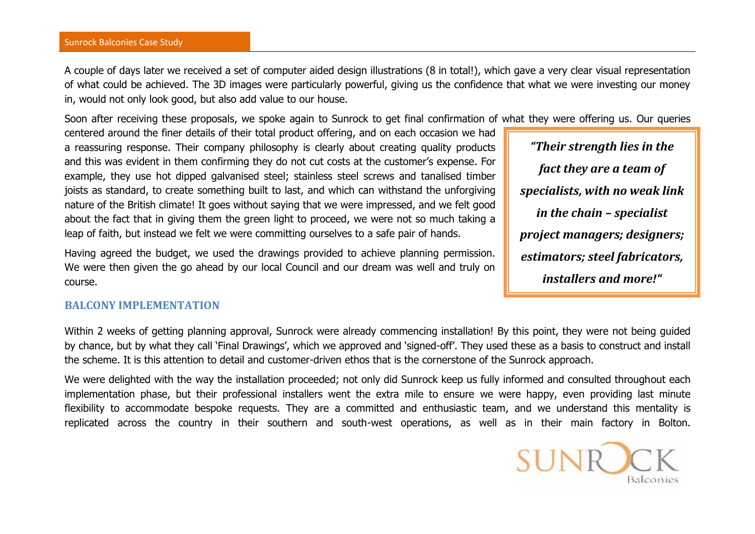A couple of days later we received a set of computer aided design illustrations (8 in total!), which gave a very clear visual representation of what could be achieved. The 3D images were particularly powerful, giving us the confidence that what we were investing our money in, would not only look good, but also add value to our house.

Soon after receiving these proposals, we spoke again to Sunrock to get final confirmation of what they were offering us. Our queries

centered around the finer details of their total product offering, and on each occasion we had a reassuring response. Their company philosophy is clearly about creating quality products and this was evident in them confirming they do not cut costs at the customer's expense. For example, they use hot dipped galvanised steel; stainless steel screws and tanalised timber joists as standard, to create something built to last, and which can withstand the unforgiving nature of the British climate! It goes without saying that we were impressed, and we felt good about the fact that in giving them the green light to proceed, we were not so much taking a leap of faith, but instead we felt we were committing ourselves to a safe pair of hands.

Having agreed the budget, we used the drawings provided to achieve planning permission. We were then given the go ahead by our local Council and our dream was well and truly on course.

### **BALCONY IMPLEMENTATION**

Within 2 weeks of getting planning approval, Sunrock were already commencing installation! By this point, they were not being guided by chance, but by what they call 'Final Drawings', which we approved and 'signed-off'. They used these as a basis to construct and install the scheme. It is this attention to detail and customer-driven ethos that is the cornerstone of the Sunrock approach.

We were delighted with the way the installation proceeded; not only did Sunrock keep us fully informed and consulted throughout each implementation phase, but their professional installers went the extra mile to ensure we were happy, even providing last minute flexibility to accommodate bespoke requests. They are a committed and enthusiastic team, and we understand this mentality is replicated across the country in their southern and south-west operations, as well as in their main factory in Bolton.



*"Their strength lies in the fact they are a team of specialists, with no weak link in the chain – specialist project managers; designers; estimators; steel fabricators, installers and more!"*